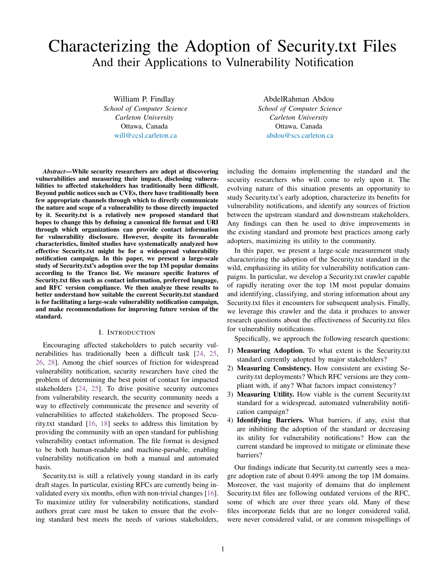# <span id="page-0-0"></span>Characterizing the Adoption of Security.txt Files And their Applications to Vulnerability Notification

William P. Findlay *School of Computer Science Carleton University* Ottawa, Canada <will@ccsl.carleton.ca>

*Abstract*—While security researchers are adept at discovering vulnerabilities and measuring their impact, disclosing vulnerabilities to affected stakeholders has traditionally been difficult. Beyond public notices such as CVEs, there have traditionally been few appropriate channels through which to directly communicate the nature and scope of a vulnerability to those directly impacted by it. Security.txt is a relatively new proposed standard that hopes to change this by defining a canonical file format and URI through which organizations can provide contact information for vulnerability disclosure. However, despite its favourable characteristics, limited studies have systematically analyzed how effective Security.txt might be for a widespread vulnerability notification campaign. In this paper, we present a large-scale study of Security.txt's adoption over the top 1M popular domains according to the Tranco list. We measure specific features of Security.txt files such as contact information, preferred language, and RFC version compliance. We then analyze these results to better understand how suitable the current Security.txt standard is for facilitating a large-scale vulnerability notification campaign, and make recommendations for improving future version of the standard.

## I. INTRODUCTION

Encouraging affected stakeholders to patch security vulnerabilities has traditionally been a difficult task [\[24,](#page-11-0) [25,](#page-11-1) [26,](#page-11-2) [28\]](#page-11-3). Among the chief sources of friction for widespread vulnerability notification, security researchers have cited the problem of determining the best point of contact for impacted stakeholders [\[24,](#page-11-0) [25\]](#page-11-1). To drive positive security outcomes from vulnerability research, the security community needs a way to effectively communicate the presence and severity of vulnerabilities to affected stakeholders. The proposed Security.txt standard [\[16,](#page-10-0) [18\]](#page-10-1) seeks to address this limitation by providing the community with an open standard for publishing vulnerability contact information. The file format is designed to be both human-readable and machine-parsable, enabling vulnerability notification on both a manual and automated basis.

Security.txt is still a relatively young standard in its early draft stages. In particular, existing RFCs are currently being invalidated every six months, often with non-trivial changes [\[16\]](#page-10-0). To maximize utility for vulnerability notifications, standard authors great care must be taken to ensure that the evolving standard best meets the needs of various stakeholders,

AbdelRahman Abdou *School of Computer Science Carleton University* Ottawa, Canada <abdou@scs.carleton.ca>

including the domains implementing the standard and the security researchers who will come to rely upon it. The evolving nature of this situation presents an opportunity to study Security.txt's early adoption, characterize its benefits for vulnerability notifications, and identify any sources of friction between the upstream standard and downstream stakeholders. Any findings can then be used to drive improvements in the existing standard and promote best practices among early adopters, maximizing its utility to the community.

In this paper, we present a large-scale measurement study characterizing the adoption of the Security.txt standard in the wild, emphasizing its utility for vulnerability notification campaigns. In particular, we develop a Security.txt crawler capable of rapidly iterating over the top 1M most popular domains and identifying, classifying, and storing information about any Security.txt files it encounters for subsequent analysis. Finally, we leverage this crawler and the data it produces to answer research questions about the effectiveness of Security.txt files for vulnerability notifications.

Specifically, we approach the following research questions:

- 1) Measuring Adoption. To what extent is the Security.txt standard currently adopted by major stakeholders?
- 2) Measuring Consistency. How consistent are existing Security.txt deployments? Which RFC versions are they compliant with, if any? What factors impact consistency?
- 3) Measuring Utility. How viable is the current Security.txt standard for a widespread, automated vulnerability notification campaign?
- 4) Identifying Barriers. What barriers, if any, exist that are inhibiting the adoption of the standard or decreasing its utility for vulnerability notifications? How can the current standard be improved to mitigate or eliminate these barriers?

Our findings indicate that Security.txt currently sees a meagre adoption rate of about 0.49% among the top 1M domains. Moreover, the vast majority of domains that do implement Security.txt files are following outdated versions of the RFC, some of which are over three years old. Many of these files incorporate fields that are no longer considered valid, were never considered valid, or are common misspellings of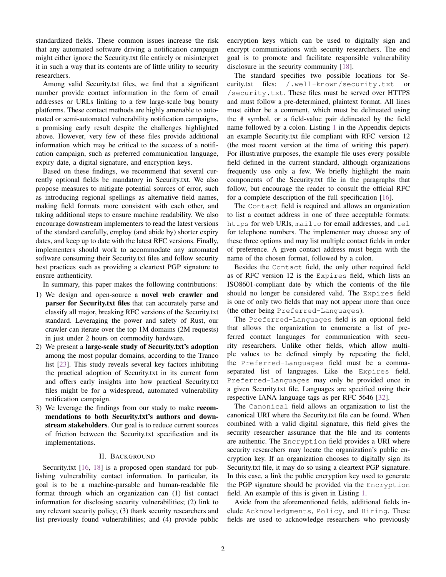standardized fields. These common issues increase the risk that any automated software driving a notification campaign might either ignore the Security.txt file entirely or misinterpret it in such a way that its contents are of little utility to security researchers.

Among valid Security.txt files, we find that a significant number provide contact information in the form of email addresses or URLs linking to a few large-scale bug bounty platforms. These contact methods are highly amenable to automated or semi-automated vulnerability notification campaigns, a promising early result despite the challenges highlighted above. However, very few of these files provide additional information which may be critical to the success of a notification campaign, such as preferred communication language, expiry date, a digital signature, and encryption keys.

Based on these findings, we recommend that several currently optional fields be mandatory in Security.txt. We also propose measures to mitigate potential sources of error, such as introducing regional spellings as alternative field names, making field formats more consistent with each other, and taking additional steps to ensure machine readability. We also encourage downstream implementers to read the latest versions of the standard carefully, employ (and abide by) shorter expiry dates, and keep up to date with the latest RFC versions. Finally, implementers should work to accommodate any automated software consuming their Security.txt files and follow security best practices such as providing a cleartext PGP signature to ensure authenticity.

In summary, this paper makes the following contributions:

- 1) We design and open-source a novel web crawler and parser for Security.txt files that can accurately parse and classify all major, breaking RFC versions of the Security.txt standard. Leveraging the power and safety of Rust, our crawler can iterate over the top 1M domains (2M requests) in just under 2 hours on commodity hardware.
- 2) We present a large-scale study of Security.txt's adoption among the most popular domains, according to the Tranco list [\[23\]](#page-11-4). This study reveals several key factors inhibiting the practical adoption of Security.txt in its current form and offers early insights into how practical Security.txt files might be for a widespread, automated vulnerability notification campaign.
- 3) We leverage the findings from our study to make recommendations to both Security.txt's authors and downstream stakeholders. Our goal is to reduce current sources of friction between the Security.txt specification and its implementations.

# II. BACKGROUND

Security.txt [\[16,](#page-10-0) [18\]](#page-10-1) is a proposed open standard for publishing vulnerability contact information. In particular, its goal is to be a machine-parsable and human-readable file format through which an organization can (1) list contact information for disclosing security vulnerabilities; (2) link to any relevant security policy; (3) thank security researchers and list previously found vulnerabilities; and (4) provide public encryption keys which can be used to digitally sign and encrypt communications with security researchers. The end goal is to promote and facilitate responsible vulnerability disclosure in the security community [\[18\]](#page-10-1).

The standard specifies two possible locations for Security.txt files: /.well-known/security.txt or /security.txt. These files must be served over HTTPS and must follow a pre-determined, plaintext format. All lines must either be a comment, which must be delineated using the # symbol, or a field-value pair delineated by the field name followed by a colon. Listing [1](#page-12-0) in the Appendix depicts an example Security.txt file compliant with RFC version 12 (the most recent version at the time of writing this paper). For illustrative purposes, the example file uses every possible field defined in the current standard, although organizations frequently use only a few. We briefly highlight the main components of the Security.txt file in the paragraphs that follow, but encourage the reader to consult the official RFC for a complete description of the full specification [\[16\]](#page-10-0).

The Contact field is required and allows an organization to list a contact address in one of three acceptable formats: https for web URIs, mailto for email addresses, and tel for telephone numbers. The implementer may choose any of these three options and may list multiple contact fields in order of preference. A given contact address must begin with the name of the chosen format, followed by a colon.

Besides the Contact field, the only other required field as of RFC version 12 is the Expires field, which lists an ISO8601-compliant date by which the contents of the file should no longer be considered valid. The Expires field is one of only two fields that may not appear more than once (the other being Preferred-Languages).

The Preferred-Languages field is an optional field that allows the organization to enumerate a list of preferred contact languages for communication with security researchers. Unlike other fields, which allow multiple values to be defined simply by repeating the field, the Preferred-Languages field must be a commaseparated list of languages. Like the Expires field, Preferred-Languages may only be provided once in a given Security.txt file. Languages are specified using their respective IANA language tags as per RFC 5646 [\[32\]](#page-11-5).

The Canonical field allows an organization to list the canonical URI where the Security.txt file can be found. When combined with a valid digital signature, this field gives the security researcher assurance that the file and its contents are authentic. The Encryption field provides a URI where security researchers may locate the organization's public encryption key. If an organization chooses to digitally sign its Security.txt file, it may do so using a cleartext PGP signature. In this case, a link the public encryption key used to generate the PGP signature should be provided via the Encryption field. An example of this is given in Listing [1.](#page-12-0)

Aside from the aforementioned fields, additional fields include Acknowledgments, Policy, and Hiring. These fields are used to acknowledge researchers who previously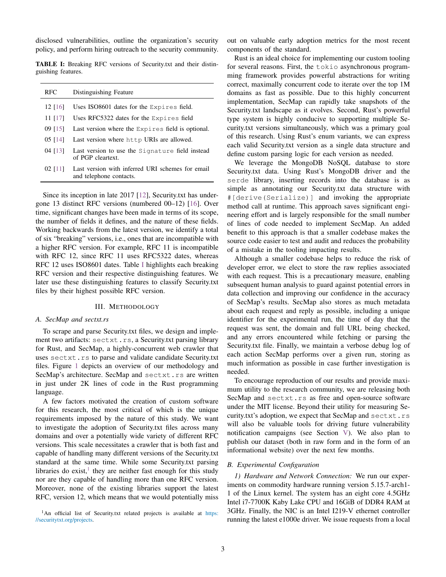disclosed vulnerabilities, outline the organization's security policy, and perform hiring outreach to the security community.

TABLE I: Breaking RFC versions of Security.txt and their distinguishing features.

<span id="page-2-0"></span>

| <b>RFC</b> | Distinguishing Feature                                                      |
|------------|-----------------------------------------------------------------------------|
| $12$ [16]  | Uses $ISO8601$ dates for the $Expires$ field.                               |
| $11$ [17]  | Uses RFC5322 dates for the Expires field                                    |
| 09 1151    | Last version where the Expires field is optional.                           |
| 05 [14]    | Last version where http URIs are allowed.                                   |
| 04 [13]    | Last version to use the Signature field instead<br>of PGP cleartext.        |
| 02 [11]    | Last version with inferred URI schemes for email<br>and telephone contacts. |

Since its inception in late 2017 [\[12\]](#page-10-7), Security.txt has undergone 13 distinct RFC versions (numbered 00–12) [\[16\]](#page-10-0). Over time, significant changes have been made in terms of its scope, the number of fields it defines, and the nature of these fields. Working backwards from the latest version, we identify a total of six "breaking" versions, i.e., ones that are incompatible with a higher RFC version. For example, RFC 11 is incompatible with RFC 12, since RFC 11 uses RFC5322 dates, whereas RFC 12 uses ISO8601 dates. Table [I](#page-2-0) highlights each breaking RFC version and their respective distinguishing features. We later use these distinguishing features to classify Security.txt files by their highest possible RFC version.

#### III. METHODOLOGY

### <span id="page-2-1"></span>*A. SecMap and sectxt.rs*

To scrape and parse Security.txt files, we design and implement two artifacts: sectxt.rs, a Security.txt parsing library for Rust, and SecMap, a highly-concurrent web crawler that uses sectxt.rs to parse and validate candidate Security.txt files. Figure [1](#page-3-0) depicts an overview of our methodology and SecMap's architecture. SecMap and sectxt.rs are written in just under 2K lines of code in the Rust programming language.

A few factors motivated the creation of custom software for this research, the most critical of which is the unique requirements imposed by the nature of this study. We want to investigate the adoption of Security.txt files across many domains and over a potentially wide variety of different RFC versions. This scale necessitates a crawler that is both fast and capable of handling many different versions of the Security.txt standard at the same time. While some Security.txt parsing libraries do exist,<sup>[1](#page-0-0)</sup> they are neither fast enough for this study nor are they capable of handling more than one RFC version. Moreover, none of the existing libraries support the latest RFC, version 12, which means that we would potentially miss out on valuable early adoption metrics for the most recent components of the standard.

Rust is an ideal choice for implementing our custom tooling for several reasons. First, the tokio asynchronous programming framework provides powerful abstractions for writing correct, maximally concurrent code to iterate over the top 1M domains as fast as possible. Due to this highly concurrent implementation, SecMap can rapidly take snapshots of the Security.txt landscape as it evolves. Second, Rust's powerful type system is highly conducive to supporting multiple Security.txt versions simultaneously, which was a primary goal of this research. Using Rust's enum variants, we can express each valid Security.txt version as a single data structure and define custom parsing logic for each version as needed.

We leverage the MongoDB NoSQL database to store Security.txt data. Using Rust's MongoDB driver and the serde library, inserting records into the database is as simple as annotating our Security.txt data structure with #[derive(Serialize)] and invoking the appropriate method call at runtime. This approach saves significant engineering effort and is largely responsible for the small number of lines of code needed to implement SecMap. An added benefit to this approach is that a smaller codebase makes the source code easier to test and audit and reduces the probability of a mistake in the tooling impacting results.

Although a smaller codebase helps to reduce the risk of developer error, we elect to store the raw replies associated with each request. This is a precautionary measure, enabling subsequent human analysis to guard against potential errors in data collection and improving our confidence in the accuracy of SecMap's results. SecMap also stores as much metadata about each request and reply as possible, including a unique identifier for the experimental run, the time of day that the request was sent, the domain and full URL being checked, and any errors encountered while fetching or parsing the Security.txt file. Finally, we maintain a verbose debug log of each action SecMap performs over a given run, storing as much information as possible in case further investigation is needed.

To encourage reproduction of our results and provide maximum utility to the research community, we are releasing both SecMap and sectxt.rs as free and open-source software under the MIT license. Beyond their utility for measuring Security.txt's adoption, we expect that SecMap and sectxt.rs will also be valuable tools for driving future vulnerability notification campaigns (see Section [V\)](#page-8-0). We also plan to publish our dataset (both in raw form and in the form of an informational website) over the next few months.

### *B. Experimental Configuration*

*1) Hardware and Network Connection:* We run our experiments on commodity hardware running version 5.15.7-arch1- 1 of the Linux kernel. The system has an eight core 4.5GHz Intel i7-7700K Kaby Lake CPU and 16GiB of DDR4 RAM at 3GHz. Finally, the NIC is an Intel I219-V ethernet controller running the latest e1000e driver. We issue requests from a local

<sup>&</sup>lt;sup>1</sup>An official list of Security.txt related projects is available at [https:](https://securitytxt.org/projects) [//securitytxt.org/projects.](https://securitytxt.org/projects)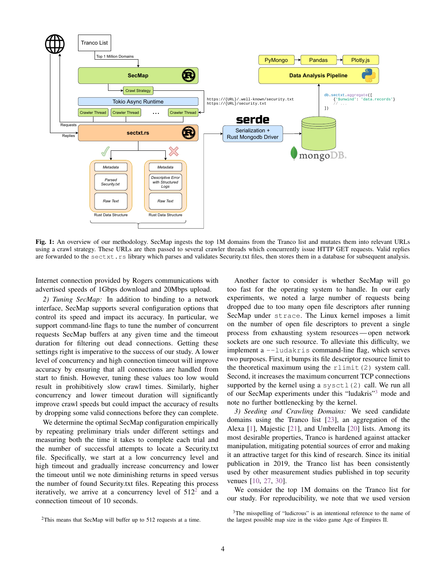<span id="page-3-0"></span>

Fig. 1: An overview of our methodology. SecMap ingests the top 1M domains from the Tranco list and mutates them into relevant URLs using a crawl strategy. These URLs are then passed to several crawler threads which concurrently issue HTTP GET requests. Valid replies are forwarded to the sectxt.rs library which parses and validates Security.txt files, then stores them in a database for subsequent analysis.

Internet connection provided by Rogers communications with advertised speeds of 1Gbps download and 20Mbps upload.

*2) Tuning SecMap:* In addition to binding to a network interface, SecMap supports several configuration options that control its speed and impact its accuracy. In particular, we support command-line flags to tune the number of concurrent requests SecMap buffers at any given time and the timeout duration for filtering out dead connections. Getting these settings right is imperative to the success of our study. A lower level of concurrency and high connection timeout will improve accuracy by ensuring that all connections are handled from start to finish. However, tuning these values too low would result in prohibitively slow crawl times. Similarly, higher concurrency and lower timeout duration will significantly improve crawl speeds but could impact the accuracy of results by dropping some valid connections before they can complete.

We determine the optimal SecMap configuration empirically by repeating preliminary trials under different settings and measuring both the time it takes to complete each trial and the number of successful attempts to locate a Security.txt file. Specifically, we start at a low concurrency level and high timeout and gradually increase concurrency and lower the timeout until we note diminishing returns in speed versus the number of found Security.txt files. Repeating this process iteratively, we arrive at a concurrency level of  $512^2$  $512^2$  $512^2$  and a connection timeout of 10 seconds.

Another factor to consider is whether SecMap will go too fast for the operating system to handle. In our early experiments, we noted a large number of requests being dropped due to too many open file descriptors after running SecMap under strace. The Linux kernel imposes a limit on the number of open file descriptors to prevent a single process from exhausting system resources — open network sockets are one such resource. To alleviate this difficulty, we implement a --ludakris command-line flag, which serves two purposes. First, it bumps its file descriptor resource limit to the theoretical maximum using the rlimit (2) system call. Second, it increases the maximum concurrent TCP connections supported by the kernel using a sysctl $(2)$  call. We run all of our SecMap experiments under this "ludakris"[3](#page-0-0) mode and note no further bottlenecking by the kernel.

*3) Seeding and Crawling Domains:* We seed candidate domains using the Tranco list [\[23\]](#page-11-4), an aggregation of the Alexa [\[1\]](#page-10-8), Majestic [\[21\]](#page-11-6), and Umbrella [\[20\]](#page-11-7) lists. Among its most desirable properties, Tranco is hardened against attacker manipulation, mitigating potential sources of error and making it an attractive target for this kind of research. Since its initial publication in 2019, the Tranco list has been consistently used by other measurement studies published in top security venues [\[10,](#page-10-9) [27,](#page-11-8) [30\]](#page-11-9).

We consider the top 1M domains on the Tranco list for our study. For reproducibility, we note that we used version

 $2$ This means that SecMap will buffer up to 512 requests at a time.

<sup>&</sup>lt;sup>3</sup>The misspelling of "ludicrous" is an intentional reference to the name of the largest possible map size in the video game Age of Empires II.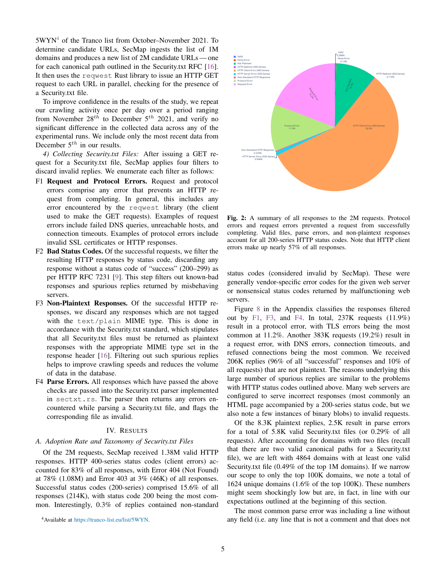5WYN[4](#page-0-0) of the Tranco list from October–November 2021. To determine candidate URLs, SecMap ingests the list of 1M domains and produces a new list of 2M candidate URLs — one for each canonical path outlined in the Security.txt RFC [\[16\]](#page-10-0). It then uses the reqwest Rust library to issue an HTTP GET request to each URL in parallel, checking for the presence of a Security.txt file.

To improve confidence in the results of the study, we repeat our crawling activity once per day over a period ranging from November  $28^{th}$  to December  $5^{th}$  2021, and verify no significant difference in the collected data across any of the experimental runs. We include only the most recent data from December  $5<sup>th</sup>$  in our results.

*4) Collecting Security.txt Files:* After issuing a GET request for a Security.txt file, SecMap applies four filters to discard invalid replies. We enumerate each filter as follows:

- <span id="page-4-0"></span>F1 Request and Protocol Errors. Request and protocol errors comprise any error that prevents an HTTP request from completing. In general, this includes any error encountered by the reqwest library (the client used to make the GET requests). Examples of request errors include failed DNS queries, unreachable hosts, and connection timeouts. Examples of protocol errors include invalid SSL certificates or HTTP responses.
- F2 Bad Status Codes. Of the successful requests, we filter the resulting HTTP responses by status code, discarding any response without a status code of "success" (200–299) as per HTTP RFC 7231 [\[9\]](#page-10-10). This step filters out known-bad responses and spurious replies returned by misbehaving servers.
- <span id="page-4-1"></span>F3 Non-Plaintext Responses. Of the successful HTTP responses, we discard any responses which are not tagged with the text/plain MIME type. This is done in accordance with the Security.txt standard, which stipulates that all Security.txt files must be returned as plaintext responses with the appropriate MIME type set in the response header [\[16\]](#page-10-0). Filtering out such spurious replies helps to improve crawling speeds and reduces the volume of data in the database.
- <span id="page-4-2"></span>F4 Parse Errors. All responses which have passed the above checks are passed into the Security.txt parser implemented in sectxt.rs. The parser then returns any errors encountered while parsing a Security.txt file, and flags the corresponding file as invalid.

#### IV. RESULTS

# *A. Adoption Rate and Taxonomy of Security.txt Files*

Of the 2M requests, SecMap received 1.38M valid HTTP responses. HTTP 400-series status codes (client errors) accounted for 83% of all responses, with Error 404 (Not Found) at 78% (1.08M) and Error 403 at  $3\%$  (46K) of all responses. Successful status codes (200-series) comprised 15.6% of all responses (214K), with status code 200 being the most common. Interestingly, 0.3% of replies contained non-standard

<sup>4</sup>Available at [https://tranco-list.eu/list/5WYN.](https://tranco-list.eu/list/5WYN)



Fig. 2: A summary of all responses to the 2M requests. Protocol errors and request errors prevented a request from successfully completing. Valid files, parse errors, and non-plaintext responses account for all 200-series HTTP status codes. Note that HTTP client errors make up nearly 57% of all responses.

status codes (considered invalid by SecMap). These were generally vendor-specific error codes for the given web server or nonsensical status codes returned by malfunctioning web servers.

Figure [8](#page-12-1) in the Appendix classifies the responses filtered out by [F1,](#page-4-0) [F3,](#page-4-1) and [F4.](#page-4-2) In total, 237K requests (11.9%) result in a protocol error, with TLS errors being the most common at 11.2%. Another 383K requests (19.2%) result in a request error, with DNS errors, connection timeouts, and refused connections being the most common. We received 206K replies (96% of all "successful" responses and 10% of all requests) that are not plaintext. The reasons underlying this large number of spurious replies are similar to the problems with HTTP status codes outlined above. Many web servers are configured to serve incorrect responses (most commonly an HTML page accompanied by a 200-series status code, but we also note a few instances of binary blobs) to invalid requests.

Of the 8.3K plaintext replies, 2.5K result in parse errors for a total of 5.8K valid Security.txt files (or 0.29% of all requests). After accounting for domains with two files (recall that there are two valid canonical paths for a Security.txt file), we are left with 4864 domains with at least one valid Security.txt file (0.49% of the top 1M domains). If we narrow our scope to only the top 100K domains, we note a total of 1624 unique domains (1.6% of the top 100K). These numbers might seem shockingly low but are, in fact, in line with our expectations outlined at the beginning of this section.

The most common parse error was including a line without any field (i.e. any line that is not a comment and that does not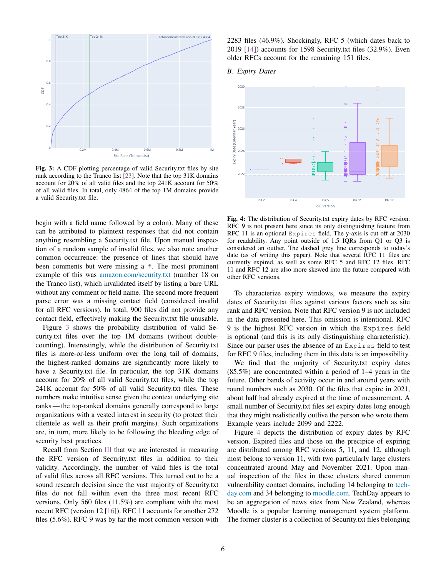<span id="page-5-0"></span>

Fig. 3: A CDF plotting percentage of valid Security.txt files by site rank according to the Tranco list [\[23\]](#page-11-4). Note that the top 31K domains account for 20% of all valid files and the top 241K account for 50% of all valid files. In total, only 4864 of the top 1M domains provide a valid Security.txt file.

begin with a field name followed by a colon). Many of these can be attributed to plaintext responses that did not contain anything resembling a Security.txt file. Upon manual inspection of a random sample of invalid files, we also note another common occurrence: the presence of lines that should have been comments but were missing a #. The most prominent example of this was [amazon.com/security.txt](https://amazon.com/security.txt) (number 18 on the Tranco list), which invalidated itself by listing a bare URL without any comment or field name. The second more frequent parse error was a missing contact field (considered invalid for all RFC versions). In total, 900 files did not provide any contact field, effectively making the Security.txt file unusable.

Figure [3](#page-5-0) shows the probability distribution of valid Security.txt files over the top 1M domains (without doublecounting). Interestingly, while the distribution of Security.txt files is more-or-less uniform over the long tail of domains, the highest-ranked domains are significantly more likely to have a Security.txt file. In particular, the top 31K domains account for 20% of all valid Security.txt files, while the top 241K account for 50% of all valid Security.txt files. These numbers make intuitive sense given the context underlying site ranks — the top-ranked domains generally correspond to large organizations with a vested interest in security (to protect their clientele as well as their profit margins). Such organizations are, in turn, more likely to be following the bleeding edge of security best practices.

Recall from Section [III](#page-2-1) that we are interested in measuring the RFC version of Security.txt files in addition to their validity. Accordingly, the number of valid files is the total of valid files across all RFC versions. This turned out to be a sound research decision since the vast majority of Security.txt files do not fall within even the three most recent RFC versions. Only 560 files (11.5%) are compliant with the most recent RFC (version 12 [\[16\]](#page-10-0)). RFC 11 accounts for another 272 files (5.6%). RFC 9 was by far the most common version with 2283 files (46.9%). Shockingly, RFC 5 (which dates back to 2019 [\[14\]](#page-10-4)) accounts for 1598 Security.txt files (32.9%). Even older RFCs account for the remaining 151 files.

#### *B. Expiry Dates*

<span id="page-5-1"></span>

Fig. 4: The distribution of Security.txt expiry dates by RFC version. RFC 9 is not present here since its only distinguishing feature from RFC 11 is an optional Expires field. The y-axis is cut off at 2030 for readability. Any point outside of 1.5 IQRs from Q1 or Q3 is considered an outlier. The dashed grey line corresponds to today's date (as of writing this paper). Note that several RFC 11 files are currently expired, as well as some RFC 5 and RFC 12 files. RFC 11 and RFC 12 are also more skewed into the future compared with other RFC versions.

To characterize expiry windows, we measure the expiry dates of Security.txt files against various factors such as site rank and RFC version. Note that RFC version 9 is not included in the data presented here. This omission is intentional. RFC 9 is the highest RFC version in which the Expires field is optional (and this is its only distinguishing characteristic). Since our parser uses the absence of an Expires field to test for RFC 9 files, including them in this data is an impossibility.

We find that the majority of Security.txt expiry dates (85.5%) are concentrated within a period of 1–4 years in the future. Other bands of activity occur in and around years with round numbers such as 2030. Of the files that expire in 2021, about half had already expired at the time of measurement. A small number of Security.txt files set expiry dates long enough that they might realistically outlive the person who wrote them. Example years include 2099 and 2222.

Figure [4](#page-5-1) depicts the distribution of expiry dates by RFC version. Expired files and those on the precipice of expiring are distributed among RFC versions 5, 11, and 12, although most belong to version 11, with two particularly large clusters concentrated around May and November 2021. Upon manual inspection of the files in these clusters shared common vulnerability contact domains, including 14 belonging to [tech](https://techday.com)[day.com](https://techday.com) and 34 belonging to [moodle.com.](https://moodle.com) TechDay appears to be an aggregation of news sites from New Zealand, whereas Moodle is a popular learning management system platform. The former cluster is a collection of Security.txt files belonging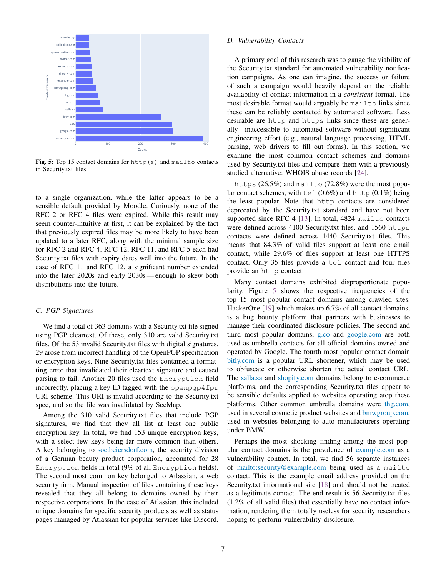<span id="page-6-0"></span>

Fig. 5: Top 15 contact domains for  $http(s)$  and mailto contacts in Security.txt files.

to a single organization, while the latter appears to be a sensible default provided by Moodle. Curiously, none of the RFC 2 or RFC 4 files were expired. While this result may seem counter-intuitive at first, it can be explained by the fact that previously expired files may be more likely to have been updated to a later RFC, along with the minimal sample size for RFC 2 and RFC 4. RFC 12, RFC 11, and RFC 5 each had Security.txt files with expiry dates well into the future. In the case of RFC 11 and RFC 12, a significant number extended into the later 2020s and early 2030s — enough to skew both distributions into the future.

#### *C. PGP Signatures*

We find a total of 363 domains with a Security.txt file signed using PGP cleartext. Of these, only 310 are valid Security.txt files. Of the 53 invalid Security.txt files with digital signatures, 29 arose from incorrect handling of the OpenPGP specification or encryption keys. Nine Security.txt files contained a formatting error that invalidated their cleartext signature and caused parsing to fail. Another 20 files used the Encryption field incorrectly, placing a key ID tagged with the openpgp4fpr URI scheme. This URI is invalid according to the Security.txt spec, and so the file was invalidated by SecMap.

Among the 310 valid Security.txt files that include PGP signatures, we find that they all list at least one public encryption key. In total, we find 153 unique encryption keys, with a select few keys being far more common than others. A key belonging to [soc.beiersdorf.com,](https://soc.beiersdorf.com) the security division of a German beauty product corporation, accounted for 28 Encryption fields in total (9% of all Encryption fields). The second most common key belonged to Atlassian, a web security firm. Manual inspection of files containing these keys revealed that they all belong to domains owned by their respective corporations. In the case of Atlassian, this included unique domains for specific security products as well as status pages managed by Atlassian for popular services like Discord.

# *D. Vulnerability Contacts*

A primary goal of this research was to gauge the viability of the Security.txt standard for automated vulnerability notification campaigns. As one can imagine, the success or failure of such a campaign would heavily depend on the reliable availability of contact information in a *consistent* format. The most desirable format would arguably be mailto links since these can be reliably contacted by automated software. Less desirable are http and https links since these are generally inaccessible to automated software without significant engineering effort (e.g., natural language processing, HTML parsing, web drivers to fill out forms). In this section, we examine the most common contact schemes and domains used by Security.txt files and compare them with a previously studied alternative: WHOIS abuse records [\[24\]](#page-11-0).

https (26.5%) and mailto (72.8%) were the most popular contact schemes, with tel  $(0.6\%)$  and http  $(0.1\%)$  being the least popular. Note that http contacts are considered deprecated by the Security.txt standard and have not been supported since RFC 4 [\[13\]](#page-10-5). In total, 4824 mailto contacts were defined across 4100 Security.txt files, and 1560 https contacts were defined across 1440 Security.txt files. This means that 84.3% of valid files support at least one email contact, while 29.6% of files support at least one HTTPS contact. Only 35 files provide a tel contact and four files provide an http contact.

Many contact domains exhibited disproportionate popularity. Figure [5](#page-6-0) shows the respective frequencies of the top 15 most popular contact domains among crawled sites. HackerOne [\[19\]](#page-11-10) which makes up 6.7% of all contact domains, is a bug bounty platform that partners with businesses to manage their coordinated disclosure policies. The second and third most popular domains, [g.co](https://g.co) and [google.com](https://google.com) are both used as umbrella contacts for all official domains owned and operated by Google. The fourth most popular contact domain [bitly.com](https://bitly.com) is a popular URL shortener, which may be used to obfuscate or otherwise shorten the actual contact URL. The [salla.sa](https://salla.sa) and [shopify.com](https://shopify.com) domains belong to e-commerce platforms, and the corresponding Security.txt files appear to be sensible defaults applied to websites operating atop these platforms. Other common umbrella domains were [thg.com,](https://thg.com) used in several cosmetic product websites and [bmwgroup.com,](https://bmwgroup.com) used in websites belonging to auto manufacturers operating under BMW.

Perhaps the most shocking finding among the most popular contact domains is the prevalence of [example.com](https://example.com) as a vulnerability contact. In total, we find 56 separate instances of <mailto:security@example.com> being used as a mailto contact. This is the example email address provided on the Security.txt informational site [\[18\]](#page-10-1) and should not be treated as a legitimate contact. The end result is 56 Security.txt files (1.2% of all valid files) that essentially have no contact information, rendering them totally useless for security researchers hoping to perform vulnerability disclosure.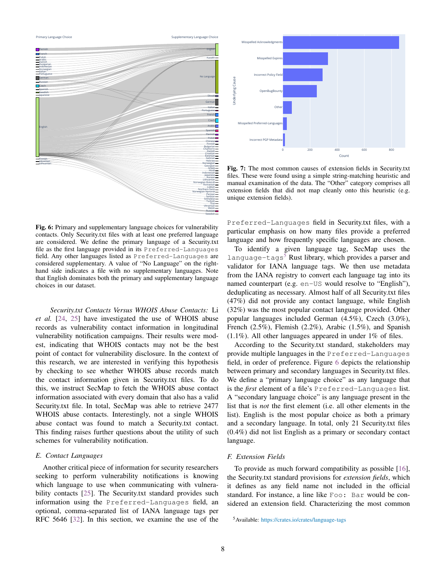Arabic **Czech** Danish English Finnish Flemish French German Hungarian Indonesian Italian Japanese Lithuanian Norwegian Polish Portuguese Russian Spanish Swedish Ukrainian  $i \in \blacksquare$ -Bulgarian <del>- -</del><br>Chamorro <del>- -</del> Chinese Croatian b<mark>li</mark> Danish English Estonian Finnish Flemish  $\overline{\phantom{a}}$ Galician-Georgian German Greek Hebrew Hindi Indonesian Italian Japanese Kazakh Korean Lithuanian Lojban No Language Northern Sami Norwegian Norwegian Bokmål Norwegian Nynorsk Persian Polish Portuguese Romanian Russian Serbian Sinhalese Slovak Spanish Swedish Thai Turkish Ukrainian Welsh

<span id="page-7-0"></span>Primary Language Choice **Supplementary Language Choice** Supplementary Language Choice Supplementary Language Choice

Fig. 6: Primary and supplementary language choices for vulnerability contacts. Only Security.txt files with at least one preferred language are considered. We define the primary language of a Security.txt file as the first language provided in its Preferred-Languages field. Any other languages listed as Preferred-Languages are considered supplementary. A value of "No Language" on the righthand side indicates a file with no supplementary languages. Note that English dominates both the primary and supplementary language choices in our dataset.

*Security.txt Contacts Versus WHOIS Abuse Contacts:* Li *et al.* [\[24,](#page-11-0) [25\]](#page-11-1) have investigated the use of WHOIS abuse records as vulnerability contact information in longitudinal vulnerability notification campaigns. Their results were modest, indicating that WHOIS contacts may not be the best point of contact for vulnerability disclosure. In the context of this research, we are interested in verifying this hypothesis by checking to see whether WHOIS abuse records match the contact information given in Security.txt files. To do this, we instruct SecMap to fetch the WHOIS abuse contact information associated with every domain that also has a valid Security.txt file. In total, SecMap was able to retrieve 2477 WHOIS abuse contacts. Interestingly, not a single WHOIS abuse contact was found to match a Security.txt contact. This finding raises further questions about the utility of such schemes for vulnerability notification.

### *E. Contact Languages*

Another critical piece of information for security researchers seeking to perform vulnerability notifications is knowing which language to use when communicating with vulnera-bility contacts [\[25\]](#page-11-1). The Security.txt standard provides such information using the Preferred-Languages field, an optional, comma-separated list of IANA language tags per RFC 5646 [\[32\]](#page-11-5). In this section, we examine the use of the

<span id="page-7-1"></span>

Fig. 7: The most common causes of extension fields in Security.txt files. These were found using a simple string-matching heuristic and manual examination of the data. The "Other" category comprises all extension fields that did not map cleanly onto this heuristic (e.g. unique extension fields).

Preferred-Languages field in Security.txt files, with a particular emphasis on how many files provide a preferred language and how frequently specific languages are chosen.

To identify a given language tag, SecMap uses the language-tags<sup>[5](#page-0-0)</sup> Rust library, which provides a parser and validator for IANA language tags. We then use metadata from the IANA registry to convert each language tag into its named counterpart (e.g. en-US would resolve to "English"), deduplicating as necessary. Almost half of all Security.txt files (47%) did not provide any contact language, while English (32%) was the most popular contact language provided. Other popular languages included German (4.5%), Czech (3.0%), French (2.5%), Flemish (2.2%), Arabic (1.5%), and Spanish (1.1%). All other languages appeared in under 1% of files.

According to the Security.txt standard, stakeholders may provide multiple languages in the Preferred-Languages field, in order of preference. Figure [6](#page-7-0) depicts the relationship between primary and secondary languages in Security.txt files. We define a "primary language choice" as any language that is the *first* element of a file's Preferred-Languages list. A "secondary language choice" is any language present in the list that is *not* the first element (i.e. all other elements in the list). English is the most popular choice as both a primary and a secondary language. In total, only 21 Security.txt files (0.4%) did not list English as a primary or secondary contact language.

## *F. Extension Fields*

To provide as much forward compatibility as possible [\[16\]](#page-10-0), the Security.txt standard provisions for *extension fields*, which it defines as any field name not included in the official standard. For instance, a line like Foo: Bar would be considered an extension field. Characterizing the most common

<sup>5</sup>Available: <https://crates.io/crates/language-tags>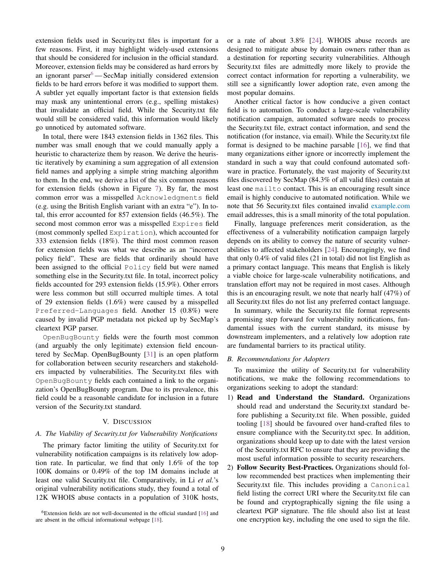extension fields used in Security.txt files is important for a few reasons. First, it may highlight widely-used extensions that should be considered for inclusion in the official standard. Moreover, extension fields may be considered as hard errors by an ignorant parser $6 6 -$ SecMap initially considered extension fields to be hard errors before it was modified to support them. A subtler yet equally important factor is that extension fields may mask any unintentional errors (e.g., spelling mistakes) that invalidate an official field. While the Security.txt file would still be considered valid, this information would likely go unnoticed by automated software.

In total, there were 1843 extension fields in 1362 files. This number was small enough that we could manually apply a heuristic to characterize them by reason. We derive the heuristic iteratively by examining a sum aggregation of all extension field names and applying a simple string matching algorithm to them. In the end, we derive a list of the six common reasons for extension fields (shown in Figure [7\)](#page-7-1). By far, the most common error was a misspelled Acknowledgments field (e.g. using the British English variant with an extra "e"). In total, this error accounted for 857 extension fields (46.5%). The second most common error was a misspelled Expires field (most commonly spelled Expiration), which accounted for 333 extension fields (18%). The third most common reason for extension fields was what we describe as an "incorrect policy field". These are fields that ordinarily should have been assigned to the official Policy field but were named something else in the Security.txt file. In total, incorrect policy fields accounted for 293 extension fields (15.9%). Other errors were less common but still occurred multiple times. A total of 29 extension fields (1.6%) were caused by a misspelled Preferred-Languages field. Another 15 (0.8%) were caused by invalid PGP metadata not picked up by SecMap's cleartext PGP parser.

OpenBugBounty fields were the fourth most common (and arguably the only legitimate) extension field encountered by SecMap. OpenBugBounty [\[31\]](#page-11-11) is an open platform for collaboration between security researchers and stakeholders impacted by vulnerabilities. The Security.txt files with OpenBugBounty fields each contained a link to the organization's OpenBugBounty program. Due to its prevalence, this field could be a reasonable candidate for inclusion in a future version of the Security.txt standard.

# V. DISCUSSION

## <span id="page-8-0"></span>*A. The Viability of Security.txt for Vulnerability Notifications*

The primary factor limiting the utility of Security.txt for vulnerability notification campaigns is its relatively low adoption rate. In particular, we find that only 1.6% of the top 100K domains or 0.49% of the top 1M domains include at least one valid Security.txt file. Comparatively, in Li *et al.*'s original vulnerability notifications study, they found a total of 12K WHOIS abuse contacts in a population of 310K hosts,

 ${}^{6}$ Extension fields are not well-documented in the official standard [\[16\]](#page-10-0) and are absent in the official informational webpage [\[18\]](#page-10-1).

or a rate of about 3.8% [\[24\]](#page-11-0). WHOIS abuse records are designed to mitigate abuse by domain owners rather than as a destination for reporting security vulnerabilities. Although Security.txt files are admittedly more likely to provide the correct contact information for reporting a vulnerability, we still see a significantly lower adoption rate, even among the most popular domains.

Another critical factor is how conducive a given contact field is to automation. To conduct a large-scale vulnerability notification campaign, automated software needs to process the Security.txt file, extract contact information, and send the notification (for instance, via email). While the Security.txt file format is designed to be machine parsable [\[16\]](#page-10-0), we find that many organizations either ignore or incorrectly implement the standard in such a way that could confound automated software in practice. Fortunately, the vast majority of Security.txt files discovered by SecMap (84.3% of all valid files) contain at least one mailto contact. This is an encouraging result since email is highly conducive to automated notification. While we note that 56 Security.txt files contained invalid [example.com](https://example.com) email addresses, this is a small minority of the total population.

Finally, language preferences merit consideration, as the effectiveness of a vulnerability notification campaign largely depends on its ability to convey the nature of security vulnerabilities to affected stakeholders [\[24\]](#page-11-0). Encouragingly, we find that only 0.4% of valid files (21 in total) did not list English as a primary contact language. This means that English is likely a viable choice for large-scale vulnerability notifications, and translation effort may not be required in most cases. Although this is an encouraging result, we note that nearly half (47%) of all Security.txt files do not list any preferred contact language.

In summary, while the Security.txt file format represents a promising step forward for vulnerability notifications, fundamental issues with the current standard, its misuse by downstream implementers, and a relatively low adoption rate are fundamental barriers to its practical utility.

#### *B. Recommendations for Adopters*

To maximize the utility of Security.txt for vulnerability notifications, we make the following recommendations to organizations seeking to adopt the standard:

- 1) Read and Understand the Standard. Organizations should read and understand the Security.txt standard before publishing a Security.txt file. When possible, guided tooling [\[18\]](#page-10-1) should be favoured over hand-crafted files to ensure compliance with the Security.txt spec. In addition, organizations should keep up to date with the latest version of the Security.txt RFC to ensure that they are providing the most useful information possible to security researchers.
- 2) Follow Security Best-Practices. Organizations should follow recommended best practices when implementing their Security.txt file. This includes providing a Canonical field listing the correct URI where the Security.txt file can be found and cryptographically signing the file using a cleartext PGP signature. The file should also list at least one encryption key, including the one used to sign the file.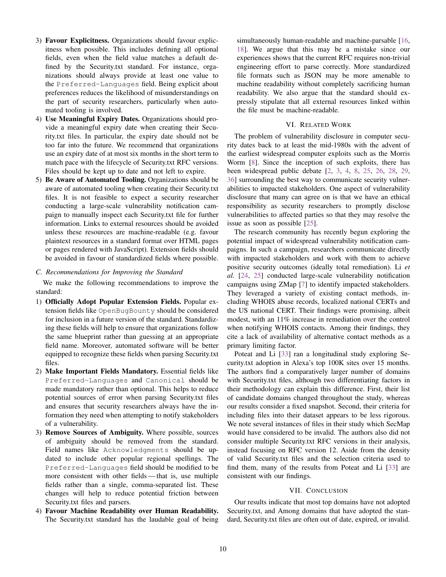- 3) Favour Explicitness. Organizations should favour explicitness when possible. This includes defining all optional fields, even when the field value matches a default defined by the Security.txt standard. For instance, organizations should always provide at least one value to the Preferred-Languages field. Being explicit about preferences reduces the likelihood of misunderstandings on the part of security researchers, particularly when automated tooling is involved.
- 4) Use Meaningful Expiry Dates. Organizations should provide a meaningful expiry date when creating their Security.txt files. In particular, the expiry date should not be too far into the future. We recommend that organizations use an expiry date of at most six months in the short term to match pace with the lifecycle of Security.txt RFC versions. Files should be kept up to date and not left to expire.
- 5) Be Aware of Automated Tooling. Organizations should be aware of automated tooling when creating their Security.txt files. It is not feasible to expect a security researcher conducting a large-scale vulnerability notification campaign to manually inspect each Security.txt file for further information. Links to external resources should be avoided unless these resources are machine-readable (e.g. favour plaintext resources in a standard format over HTML pages or pages rendered with JavaScript). Extension fields should be avoided in favour of standardized fields where possible.

#### *C. Recommendations for Improving the Standard*

We make the following recommendations to improve the standard:

- 1) Officially Adopt Popular Extension Fields. Popular extension fields like OpenBugBounty should be considered for inclusion in a future version of the standard. Standardizing these fields will help to ensure that organizations follow the same blueprint rather than guessing at an appropriate field name. Moreover, automated software will be better equipped to recognize these fields when parsing Security.txt files.
- 2) Make Important Fields Mandatory. Essential fields like Preferred-Languages and Canonical should be made mandatory rather than optional. This helps to reduce potential sources of error when parsing Security.txt files and ensures that security researchers always have the information they need when attempting to notify stakeholders of a vulnerability.
- 3) Remove Sources of Ambiguity. Where possible, sources of ambiguity should be removed from the standard. Field names like Acknowledgments should be updated to include other popular regional spellings. The Preferred-Languages field should be modified to be more consistent with other fields — that is, use multiple fields rather than a single, comma-separated list. These changes will help to reduce potential friction between Security.txt files and parsers.
- 4) Favour Machine Readability over Human Readability. The Security.txt standard has the laudable goal of being

simultaneously human-readable and machine-parsable [\[16,](#page-10-0) [18\]](#page-10-1). We argue that this may be a mistake since our experiences shows that the current RFC requires non-trivial engineering effort to parse correctly. More standardized file formats such as JSON may be more amenable to machine readability without completely sacrificing human readability. We also argue that the standard should expressly stipulate that all external resources linked within the file must be machine-readable.

### VI. RELATED WORK

The problem of vulnerability disclosure in computer security dates back to at least the mid-1980s with the advent of the earliest widespread computer exploits such as the Morris Worm [\[8\]](#page-10-11). Since the inception of such exploits, there has been widespread public debate [\[2,](#page-10-12) [3,](#page-10-13) [4,](#page-10-14) [8,](#page-10-11) [25,](#page-11-1) [26,](#page-11-2) [28,](#page-11-3) [29,](#page-11-12) [36\]](#page-11-13) surrounding the best way to communicate security vulnerabilities to impacted stakeholders. One aspect of vulnerability disclosure that many can agree on is that we have an ethical responsibility as security researchers to promptly disclose vulnerabilities to affected parties so that they may resolve the issue as soon as possible [\[25\]](#page-11-1).

The research community has recently begun exploring the potential impact of widespread vulnerability notification campaigns. In such a campaign, researchers communicate directly with impacted stakeholders and work with them to achieve positive security outcomes (ideally total remediation). Li *et al.* [\[24,](#page-11-0) [25\]](#page-11-1) conducted large-scale vulnerability notification campaigns using ZMap [\[7\]](#page-10-15) to identify impacted stakeholders. They leveraged a variety of existing contact methods, including WHOIS abuse records, localized national CERTs and the US national CERT. Their findings were promising, albeit modest, with an 11% increase in remediation over the control when notifying WHOIS contacts. Among their findings, they cite a lack of availability of alternative contact methods as a primary limiting factor.

Poteat and Li [\[33\]](#page-11-14) ran a longitudinal study exploring Security.txt adoption in Alexa's top 100K sites over 15 months. The authors find a comparatively larger number of domains with Security.txt files, although two differentiating factors in their methodology can explain this difference. First, their list of candidate domains changed throughout the study, whereas our results consider a fixed snapshot. Second, their criteria for including files into their dataset appears to be less rigorous. We note several instances of files in their study which SecMap would have considered to be invalid. The authors also did not consider multiple Security.txt RFC versions in their analysis, instead focusing on RFC version 12. Aside from the density of valid Security.txt files and the selection criteria used to find them, many of the results from Poteat and Li [\[33\]](#page-11-14) are consistent with our findings.

#### VII. CONCLUSION

Our results indicate that most top domains have not adopted Security.txt, and Among domains that have adopted the standard, Security.txt files are often out of date, expired, or invalid.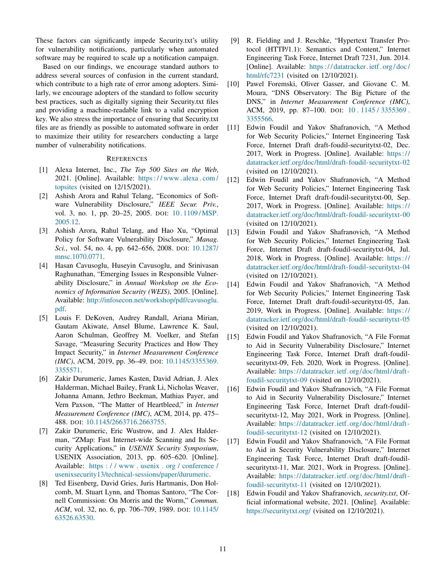These factors can significantly impede Security.txt's utility for vulnerability notifications, particularly when automated software may be required to scale up a notification campaign.

Based on our findings, we encourage standard authors to address several sources of confusion in the current standard, which contribute to a high rate of error among adopters. Similarly, we encourage adopters of the standard to follow security best practices, such as digitally signing their Security.txt files and providing a machine-readable link to a valid encryption key. We also stress the importance of ensuring that Security.txt files are as friendly as possible to automated software in order to maximize their utility for researchers conducting a large number of vulnerability notifications.

#### **REFERENCES**

- <span id="page-10-8"></span>[1] Alexa Internet, Inc., *The Top 500 Sites on the Web*, 2021. [Online]. Available: [https : / / www. alexa . com /](https://www.alexa.com/topsites) [topsites](https://www.alexa.com/topsites) (visited on 12/15/2021).
- <span id="page-10-12"></span>[2] Ashish Arora and Rahul Telang, "Economics of Software Vulnerability Disclosure," *IEEE Secur. Priv.*, vol. 3, no. 1, pp. 20–25, 2005. DOI: 10.1109/MSP. [2005.12.](https://doi.org/10.1109/MSP.2005.12)
- <span id="page-10-13"></span>[3] Ashish Arora, Rahul Telang, and Hao Xu, "Optimal Policy for Software Vulnerability Disclosure," *Manag. Sci.*, vol. 54, no. 4, pp. 642–656, 2008. DOI: [10.1287/](https://doi.org/10.1287/mnsc.1070.0771) [mnsc.1070.0771.](https://doi.org/10.1287/mnsc.1070.0771)
- <span id="page-10-14"></span>[4] Hasan Cavusoglu, Huseyin Cavusoglu, and Srinivasan Raghunathan, "Emerging Issues in Responsible Vulnerability Disclosure," in *Annual Workshop on the Economics of Information Security (WEIS)*, 2005. [Online]. Available: [http://infosecon.net/workshop/pdf/cavusoglu.](http://infosecon.net/workshop/pdf/cavusoglu.pdf) [pdf.](http://infosecon.net/workshop/pdf/cavusoglu.pdf)
- [5] Louis F. DeKoven, Audrey Randall, Ariana Mirian, Gautam Akiwate, Ansel Blume, Lawrence K. Saul, Aaron Schulman, Geoffrey M. Voelker, and Stefan Savage, "Measuring Security Practices and How They Impact Security," in *Internet Measurement Conference (IMC)*, ACM, 2019, pp. 36–49. DOI: [10.1145/3355369.](https://doi.org/10.1145/3355369.3355571) [3355571.](https://doi.org/10.1145/3355369.3355571)
- [6] Zakir Durumeric, James Kasten, David Adrian, J. Alex Halderman, Michael Bailey, Frank Li, Nicholas Weaver, Johanna Amann, Jethro Beekman, Mathias Payer, and Vern Paxson, "The Matter of Heartbleed," in *Internet Measurement Conference (IMC)*, ACM, 2014, pp. 475– 488. DOI: [10.1145/2663716.2663755.](https://doi.org/10.1145/2663716.2663755)
- <span id="page-10-15"></span>[7] Zakir Durumeric, Eric Wustrow, and J. Alex Halderman, "ZMap: Fast Internet-wide Scanning and Its Security Applications," in *USENIX Security Symposium*, USENIX Association, 2013, pp. 605–620. [Online]. Available: [https : / / www . usenix . org / conference /](https://www.usenix.org/conference/usenixsecurity13/technical-sessions/paper/durumeric) [usenixsecurity13/technical-sessions/paper/durumeric.](https://www.usenix.org/conference/usenixsecurity13/technical-sessions/paper/durumeric)
- <span id="page-10-11"></span>[8] Ted Eisenberg, David Gries, Juris Hartmanis, Don Holcomb, M. Stuart Lynn, and Thomas Santoro, "The Cornell Commission: On Morris and the Worm," *Commun. ACM*, vol. 32, no. 6, pp. 706–709, 1989. DOI: [10.1145/](https://doi.org/10.1145/63526.63530) [63526.63530.](https://doi.org/10.1145/63526.63530)
- <span id="page-10-10"></span>[9] R. Fielding and J. Reschke, "Hypertext Transfer Protocol (HTTP/1.1): Semantics and Content," Internet Engineering Task Force, Internet Draft 7231, Jun. 2014. [Online]. Available: [https : / / datatracker. ietf . org / doc /](https://datatracker.ietf.org/doc/html/rfc7231) [html/rfc7231](https://datatracker.ietf.org/doc/html/rfc7231) (visited on 12/10/2021).
- <span id="page-10-9"></span>[10] Pawel Foremski, Oliver Gasser, and Giovane C. M. Moura, "DNS Observatory: The Big Picture of the DNS," in *Internet Measurement Conference (IMC)*, ACM, 2019, pp. 87–100. DOI: [10 . 1145 / 3355369 .](https://doi.org/10.1145/3355369.3355566) [3355566.](https://doi.org/10.1145/3355369.3355566)
- <span id="page-10-6"></span>[11] Edwin Foudil and Yakov Shafranovich, "A Method for Web Security Policies," Internet Engineering Task Force, Internet Draft draft-foudil-securitytxt-02, Dec. 2017, Work in Progress. [Online]. Available: [https://](https://datatracker.ietf.org/doc/html/draft-foudil-securitytxt-02) [datatracker.ietf.org/doc/html/draft-foudil-securitytxt-02](https://datatracker.ietf.org/doc/html/draft-foudil-securitytxt-02) (visited on 12/10/2021).
- <span id="page-10-7"></span>[12] Edwin Foudil and Yakov Shafranovich, "A Method for Web Security Policies," Internet Engineering Task Force, Internet Draft draft-foudil-securitytxt-00, Sep. 2017, Work in Progress. [Online]. Available: [https://](https://datatracker.ietf.org/doc/html/draft-foudil-securitytxt-00) [datatracker.ietf.org/doc/html/draft-foudil-securitytxt-00](https://datatracker.ietf.org/doc/html/draft-foudil-securitytxt-00) (visited on 12/10/2021).
- <span id="page-10-5"></span>[13] Edwin Foudil and Yakov Shafranovich, "A Method for Web Security Policies," Internet Engineering Task Force, Internet Draft draft-foudil-securitytxt-04, Jul. 2018, Work in Progress. [Online]. Available: [https://](https://datatracker.ietf.org/doc/html/draft-foudil-securitytxt-04) [datatracker.ietf.org/doc/html/draft-foudil-securitytxt-04](https://datatracker.ietf.org/doc/html/draft-foudil-securitytxt-04) (visited on 12/10/2021).
- <span id="page-10-4"></span>[14] Edwin Foudil and Yakov Shafranovich, "A Method for Web Security Policies," Internet Engineering Task Force, Internet Draft draft-foudil-securitytxt-05, Jan. 2019, Work in Progress. [Online]. Available: [https://](https://datatracker.ietf.org/doc/html/draft-foudil-securitytxt-05) [datatracker.ietf.org/doc/html/draft-foudil-securitytxt-05](https://datatracker.ietf.org/doc/html/draft-foudil-securitytxt-05) (visited on 12/10/2021).
- <span id="page-10-3"></span>[15] Edwin Foudil and Yakov Shafranovich, "A File Format to Aid in Security Vulnerability Disclosure," Internet Engineering Task Force, Internet Draft draft-foudilsecuritytxt-09, Feb. 2020, Work in Progress. [Online]. Available: [https://datatracker.ietf.org/doc/html/draft](https://datatracker.ietf.org/doc/html/draft-foudil-securitytxt-09)[foudil-securitytxt-09](https://datatracker.ietf.org/doc/html/draft-foudil-securitytxt-09) (visited on 12/10/2021).
- <span id="page-10-0"></span>[16] Edwin Foudil and Yakov Shafranovich, "A File Format to Aid in Security Vulnerability Disclosure," Internet Engineering Task Force, Internet Draft draft-foudilsecuritytxt-12, May 2021, Work in Progress. [Online]. Available: [https://datatracker.ietf.org/doc/html/draft](https://datatracker.ietf.org/doc/html/draft-foudil-securitytxt-12)[foudil-securitytxt-12](https://datatracker.ietf.org/doc/html/draft-foudil-securitytxt-12) (visited on 12/10/2021).
- <span id="page-10-2"></span>[17] Edwin Foudil and Yakov Shafranovich, "A File Format to Aid in Security Vulnerability Disclosure," Internet Engineering Task Force, Internet Draft draft-foudilsecuritytxt-11, Mar. 2021, Work in Progress. [Online]. Available: [https://datatracker.ietf.org/doc/html/draft](https://datatracker.ietf.org/doc/html/draft-foudil-securitytxt-11)[foudil-securitytxt-11](https://datatracker.ietf.org/doc/html/draft-foudil-securitytxt-11) (visited on 12/10/2021).
- <span id="page-10-1"></span>[18] Edwin Foudil and Yakov Shafranovich, *security.txt*, Official informational website, 2021. [Online]. Available: <https://securitytxt.org/> (visited on 12/10/2021).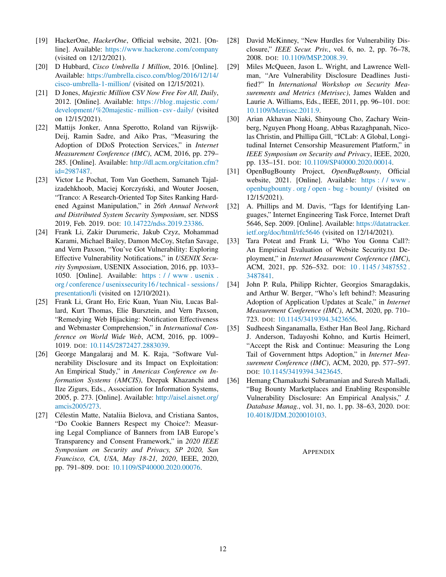- <span id="page-11-10"></span>[19] HackerOne, *HackerOne*, Official website, 2021. [Online]. Available: <https://www.hackerone.com/company> (visited on 12/12/2021).
- <span id="page-11-7"></span>[20] D Hubbard, *Cisco Umbrella 1 Million*, 2016. [Online]. Available: [https://umbrella.cisco.com/blog/2016/12/14/](https://umbrella.cisco.com/blog/2016/12/14/cisco-umbrella-1-million/) [cisco-umbrella-1-million/](https://umbrella.cisco.com/blog/2016/12/14/cisco-umbrella-1-million/) (visited on 12/15/2021).
- <span id="page-11-6"></span>[21] D Jones, *Majestic Million CSV Now Free For All, Daily*, 2012. [Online]. Available: [https://blog.majestic.com/](https://blog.majestic.com/development/%20majestic-million-csv-daily/) [development/%20majestic- million- csv- daily/](https://blog.majestic.com/development/%20majestic-million-csv-daily/) (visited on 12/15/2021).
- [22] Mattijs Jonker, Anna Sperotto, Roland van Rijswijk-Deij, Ramin Sadre, and Aiko Pras, "Measuring the Adoption of DDoS Protection Services," in *Internet Measurement Conference (IMC)*, ACM, 2016, pp. 279– 285. [Online]. Available: [http://dl.acm.org/citation.cfm?](http://dl.acm.org/citation.cfm?id=2987487) [id=2987487.](http://dl.acm.org/citation.cfm?id=2987487)
- <span id="page-11-4"></span>[23] Victor Le Pochat, Tom Van Goethem, Samaneh Tajalizadehkhoob, Maciej Korczyński, and Wouter Joosen, "Tranco: A Research-Oriented Top Sites Ranking Hardened Against Manipulation," in *26th Annual Network and Distributed System Security Symposium*, ser. NDSS 2019, Feb. 2019. DOI: [10.14722/ndss.2019.23386.](https://doi.org/10.14722/ndss.2019.23386)
- <span id="page-11-0"></span>[24] Frank Li, Zakir Durumeric, Jakub Czyz, Mohammad Karami, Michael Bailey, Damon McCoy, Stefan Savage, and Vern Paxson, "You've Got Vulnerability: Exploring Effective Vulnerability Notifications," in *USENIX Security Symposium*, USENIX Association, 2016, pp. 1033– 1050. [Online]. Available: [https : / / www . usenix .](https://www.usenix.org/conference/usenixsecurity16/technical-sessions/presentation/li) [org / conference / usenixsecurity16 / technical - sessions /](https://www.usenix.org/conference/usenixsecurity16/technical-sessions/presentation/li) [presentation/li](https://www.usenix.org/conference/usenixsecurity16/technical-sessions/presentation/li) (visited on 12/10/2021).
- <span id="page-11-1"></span>[25] Frank Li, Grant Ho, Eric Kuan, Yuan Niu, Lucas Ballard, Kurt Thomas, Elie Bursztein, and Vern Paxson, "Remedying Web Hijacking: Notification Effectiveness and Webmaster Comprehension," in *International Conference on World Wide Web*, ACM, 2016, pp. 1009– 1019. DOI: [10.1145/2872427.2883039.](https://doi.org/10.1145/2872427.2883039)
- <span id="page-11-2"></span>[26] George Mangalaraj and M. K. Raja, "Software Vulnerability Disclosure and its Impact on Exploitation: An Empirical Study," in *Americas Conference on Information Systems (AMCIS)*, Deepak Khazanchi and Ilze Zigurs, Eds., Association for Information Systems, 2005, p. 273. [Online]. Available: [http://aisel.aisnet.org/](http://aisel.aisnet.org/amcis2005/273) [amcis2005/273.](http://aisel.aisnet.org/amcis2005/273)
- <span id="page-11-8"></span>[27] Célestin Matte, Nataliia Bielova, and Cristiana Santos, "Do Cookie Banners Respect my Choice?: Measuring Legal Compliance of Banners from IAB Europe's Transparency and Consent Framework," in *2020 IEEE Symposium on Security and Privacy, SP 2020, San Francisco, CA, USA, May 18-21, 2020*, IEEE, 2020, pp. 791–809. DOI: [10.1109/SP40000.2020.00076.](https://doi.org/10.1109/SP40000.2020.00076)
- <span id="page-11-3"></span>[28] David McKinney, "New Hurdles for Vulnerability Disclosure," *IEEE Secur. Priv.*, vol. 6, no. 2, pp. 76–78, 2008. DOI: [10.1109/MSP.2008.39.](https://doi.org/10.1109/MSP.2008.39)
- <span id="page-11-12"></span>[29] Miles McQueen, Jason L. Wright, and Lawrence Wellman, "Are Vulnerability Disclosure Deadlines Justified?" In *International Workshop on Security Measurements and Metrics (Metrisec)*, James Walden and Laurie A. Williams, Eds., IEEE, 2011, pp. 96–101. DOI: [10.1109/Metrisec.2011.9.](https://doi.org/10.1109/Metrisec.2011.9)
- <span id="page-11-9"></span>[30] Arian Akhavan Niaki, Shinyoung Cho, Zachary Weinberg, Nguyen Phong Hoang, Abbas Razaghpanah, Nicolas Christin, and Phillipa Gill, "ICLab: A Global, Longitudinal Internet Censorship Measurement Platform," in *IEEE Symposium on Security and Privacy*, IEEE, 2020, pp. 135–151. DOI: [10.1109/SP40000.2020.00014.](https://doi.org/10.1109/SP40000.2020.00014)
- <span id="page-11-11"></span>[31] OpenBugBounty Project, *OpenBugBounty*, Official website, 2021. [Online]. Available: https://www. [openbugbounty . org / open - bug - bounty/](https://www.openbugbounty.org/open-bug-bounty/) (visited on 12/15/2021).
- <span id="page-11-5"></span>[32] A. Phillips and M. Davis, "Tags for Identifying Languages," Internet Engineering Task Force, Internet Draft 5646, Sep. 2009. [Online]. Available: [https://datatracker.](https://datatracker.ietf.org/doc/html/rfc5646) [ietf.org/doc/html/rfc5646](https://datatracker.ietf.org/doc/html/rfc5646) (visited on 12/14/2021).
- <span id="page-11-14"></span>[33] Tara Poteat and Frank Li, "Who You Gonna Call?: An Empirical Evaluation of Website Security.txt Deployment," in *Internet Measurement Conference (IMC)*, ACM, 2021, pp. 526–532. DOI: [10 . 1145 / 3487552 .](https://doi.org/10.1145/3487552.3487841) [3487841.](https://doi.org/10.1145/3487552.3487841)
- [34] John P. Rula, Philipp Richter, Georgios Smaragdakis, and Arthur W. Berger, "Who's left behind?: Measuring Adoption of Application Updates at Scale," in *Internet Measurement Conference (IMC)*, ACM, 2020, pp. 710– 723. DOI: [10.1145/3419394.3423656.](https://doi.org/10.1145/3419394.3423656)
- [35] Sudheesh Singanamalla, Esther Han Beol Jang, Richard J. Anderson, Tadayoshi Kohno, and Kurtis Heimerl, "Accept the Risk and Continue: Measuring the Long Tail of Government https Adoption," in *Internet Measurement Conference (IMC)*, ACM, 2020, pp. 577–597. DOI: [10.1145/3419394.3423645.](https://doi.org/10.1145/3419394.3423645)
- <span id="page-11-13"></span>[36] Hemang Chamakuzhi Subramanian and Suresh Malladi, "Bug Bounty Marketplaces and Enabling Responsible Vulnerability Disclosure: An Empirical Analysis," *J. Database Manag.*, vol. 31, no. 1, pp. 38–63, 2020. DOI: [10.4018/JDM.2020010103.](https://doi.org/10.4018/JDM.2020010103)

## **APPENDIX**